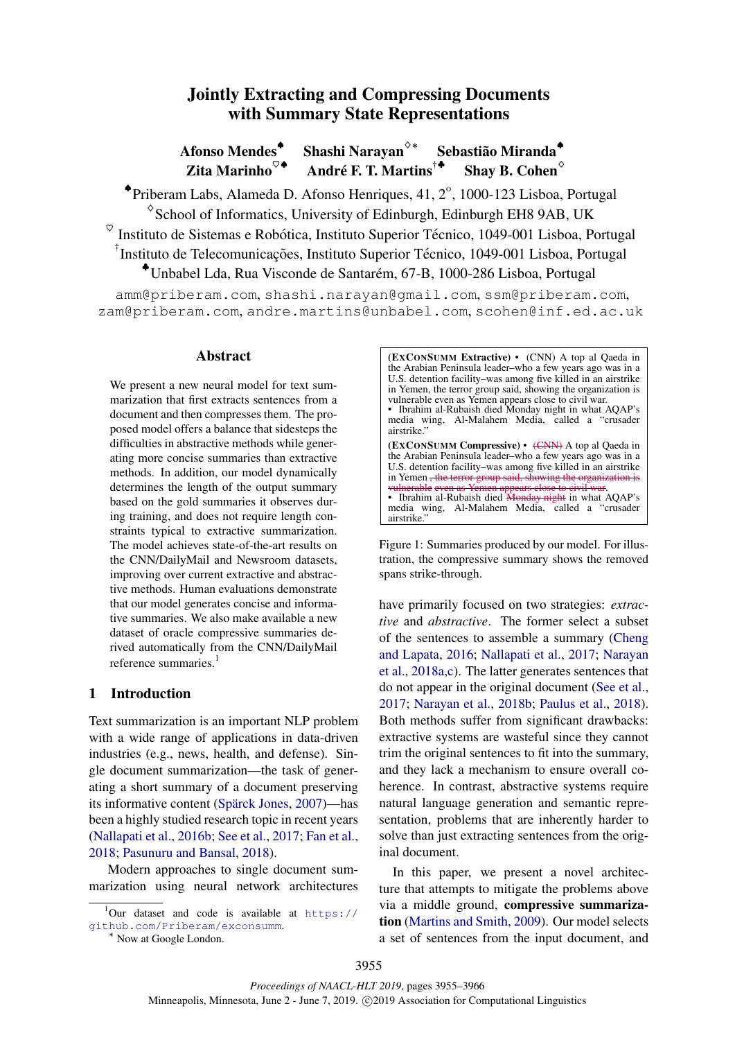# Jointly Extracting and Compressing Documents with Summary State Representations

Afonso Mendes<sup>◆</sup> Shashi Narayan<sup> $\diamond*$ </sup> Sebastião Miranda<sup>®</sup> Zita Marinho $^{\heartsuit\blacklozenge}$ André F. T. Martins<sup>†\*</sup> Shav B. Cohen $\diamond$ 

◆ Priberam Labs, Alameda D. Afonso Henriques, 41, 2°, 1000-123 Lisboa, Portugal ♢ School of Informatics, University of Edinburgh, Edinburgh EH8 9AB, UK  $\circ$ Instituto de Sistemas e Robótica, Instituto Superior Técnico, 1049-001 Lisboa, Portugal <sup>†</sup>Instituto de Telecomunicações, Instituto Superior Técnico, 1049-001 Lisboa, Portugal

♣Unbabel Lda, Rua Visconde de Santarem, 67-B, 1000-286 Lisboa, Portugal ´

amm@priberam.com, shashi.narayan@gmail.com, ssm@priberam.com, zam@priberam.com, andre.martins@unbabel.com, scohen@inf.ed.ac.uk

#### Abstract

We present a new neural model for text summarization that first extracts sentences from a document and then compresses them. The proposed model offers a balance that sidesteps the difficulties in abstractive methods while generating more concise summaries than extractive methods. In addition, our model dynamically determines the length of the output summary based on the gold summaries it observes during training, and does not require length constraints typical to extractive summarization. The model achieves state-of-the-art results on the CNN/DailyMail and Newsroom datasets, improving over current extractive and abstractive methods. Human evaluations demonstrate that our model generates concise and informative summaries. We also make available a new dataset of oracle compressive summaries derived automatically from the CNN/DailyMail reference summaries $<sup>1</sup>$ </sup>

# 1 Introduction

Text summarization is an important NLP problem with a wide range of applications in data-driven industries (e.g., news, health, and defense). Single document summarization—the task of generating a short summary of a document preserving its informative content (Spärck Jones, 2007)—has been a highly studied research topic in recent years (Nallapati et al., 2016b; See et al., 2017; Fan et al., 2018; Pasunuru and Bansal, 2018).

Modern approaches to single document summarization using neural network architectures

<sup>∗</sup> Now at Google London.

(EXCONSUMM Extractive) • (CNN) A top al Qaeda in the Arabian Peninsula leader–who a few years ago was in a U.S. detention facility–was among five killed in an airstrike in Yemen, the terror group said, showing the organization is vulnerable even as Yemen appears close to civil war. • Ibrahim al-Rubaish died Monday night in what AQAP's media wing, Al-Malahem Media, called a "crusader airstrike." (EXCONSUMM Compressive) • (CNN) A top al Qaeda in the Arabian Peninsula leader–who a few years ago was in a U.S. detention facility–was among five killed in an airstrike in Yemen, the terror group said, showing the organization vulnerable even as Yemen appears close to civil war. • Ibrahim al-Rubaish died Monday night in what AQAP's media wing, Al-Malahem Media, called a "crusader airstrike.'

Figure 1: Summaries produced by our model. For illustration, the compressive summary shows the removed spans strike-through.

have primarily focused on two strategies: *extractive* and *abstractive*. The former select a subset of the sentences to assemble a summary (Cheng and Lapata, 2016; Nallapati et al., 2017; Narayan et al., 2018a,c). The latter generates sentences that do not appear in the original document (See et al., 2017; Narayan et al., 2018b; Paulus et al., 2018). Both methods suffer from significant drawbacks: extractive systems are wasteful since they cannot trim the original sentences to fit into the summary, and they lack a mechanism to ensure overall coherence. In contrast, abstractive systems require natural language generation and semantic representation, problems that are inherently harder to solve than just extracting sentences from the original document.

In this paper, we present a novel architecture that attempts to mitigate the problems above via a middle ground, compressive summarization (Martins and Smith, 2009). Our model selects a set of sentences from the input document, and

 $^1$ Our dataset and code is available at https:// github.com/Priberam/exconsumm.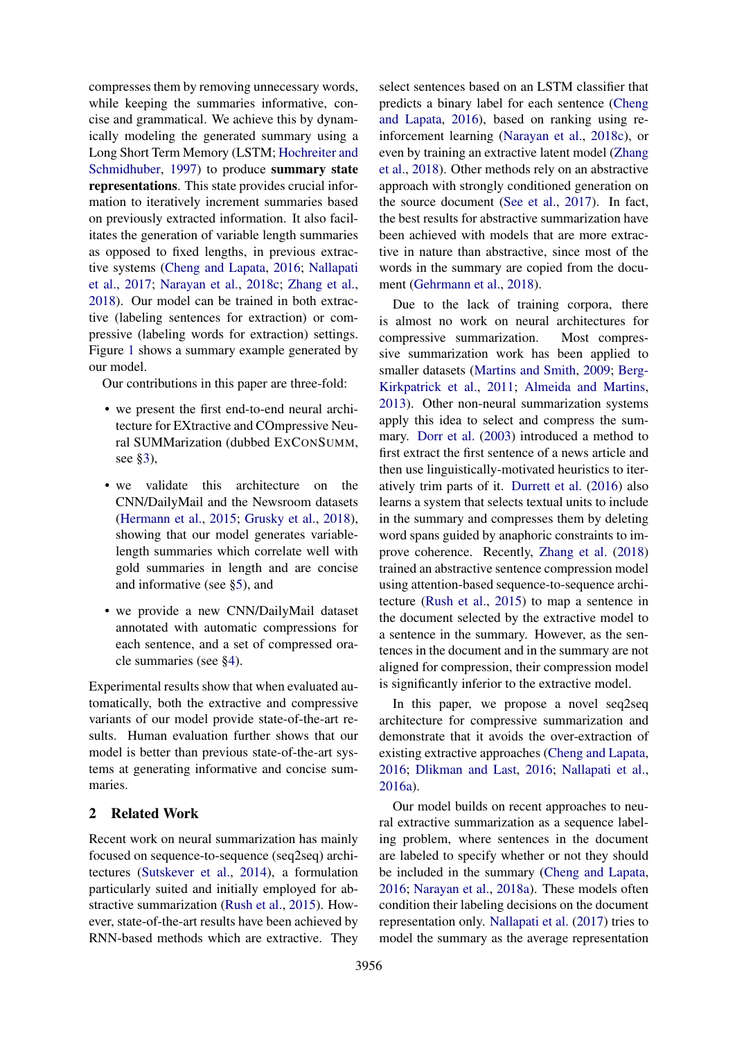compresses them by removing unnecessary words, while keeping the summaries informative, concise and grammatical. We achieve this by dynamically modeling the generated summary using a Long Short Term Memory (LSTM; Hochreiter and Schmidhuber, 1997) to produce summary state representations. This state provides crucial information to iteratively increment summaries based on previously extracted information. It also facilitates the generation of variable length summaries as opposed to fixed lengths, in previous extractive systems (Cheng and Lapata, 2016; Nallapati et al., 2017; Narayan et al., 2018c; Zhang et al., 2018). Our model can be trained in both extractive (labeling sentences for extraction) or compressive (labeling words for extraction) settings. Figure 1 shows a summary example generated by our model.

Our contributions in this paper are three-fold:

- we present the first end-to-end neural architecture for EXtractive and COmpressive Neural SUMMarization (dubbed EXCONSUMM, see §3),
- we validate this architecture on the CNN/DailyMail and the Newsroom datasets (Hermann et al., 2015; Grusky et al., 2018), showing that our model generates variablelength summaries which correlate well with gold summaries in length and are concise and informative (see §5), and
- we provide a new CNN/DailyMail dataset annotated with automatic compressions for each sentence, and a set of compressed oracle summaries (see §4).

Experimental results show that when evaluated automatically, both the extractive and compressive variants of our model provide state-of-the-art results. Human evaluation further shows that our model is better than previous state-of-the-art systems at generating informative and concise summaries.

# 2 Related Work

Recent work on neural summarization has mainly focused on sequence-to-sequence (seq2seq) architectures (Sutskever et al., 2014), a formulation particularly suited and initially employed for abstractive summarization (Rush et al., 2015). However, state-of-the-art results have been achieved by RNN-based methods which are extractive. They

select sentences based on an LSTM classifier that predicts a binary label for each sentence (Cheng and Lapata, 2016), based on ranking using reinforcement learning (Narayan et al., 2018c), or even by training an extractive latent model (Zhang et al., 2018). Other methods rely on an abstractive approach with strongly conditioned generation on the source document (See et al., 2017). In fact, the best results for abstractive summarization have been achieved with models that are more extractive in nature than abstractive, since most of the words in the summary are copied from the document (Gehrmann et al., 2018).

Due to the lack of training corpora, there is almost no work on neural architectures for compressive summarization. Most compressive summarization work has been applied to smaller datasets (Martins and Smith, 2009; Berg-Kirkpatrick et al., 2011; Almeida and Martins, 2013). Other non-neural summarization systems apply this idea to select and compress the summary. Dorr et al. (2003) introduced a method to first extract the first sentence of a news article and then use linguistically-motivated heuristics to iteratively trim parts of it. Durrett et al. (2016) also learns a system that selects textual units to include in the summary and compresses them by deleting word spans guided by anaphoric constraints to improve coherence. Recently, Zhang et al. (2018) trained an abstractive sentence compression model using attention-based sequence-to-sequence architecture (Rush et al., 2015) to map a sentence in the document selected by the extractive model to a sentence in the summary. However, as the sentences in the document and in the summary are not aligned for compression, their compression model is significantly inferior to the extractive model.

In this paper, we propose a novel seq2seq architecture for compressive summarization and demonstrate that it avoids the over-extraction of existing extractive approaches (Cheng and Lapata, 2016; Dlikman and Last, 2016; Nallapati et al., 2016a).

Our model builds on recent approaches to neural extractive summarization as a sequence labeling problem, where sentences in the document are labeled to specify whether or not they should be included in the summary (Cheng and Lapata, 2016; Narayan et al., 2018a). These models often condition their labeling decisions on the document representation only. Nallapati et al. (2017) tries to model the summary as the average representation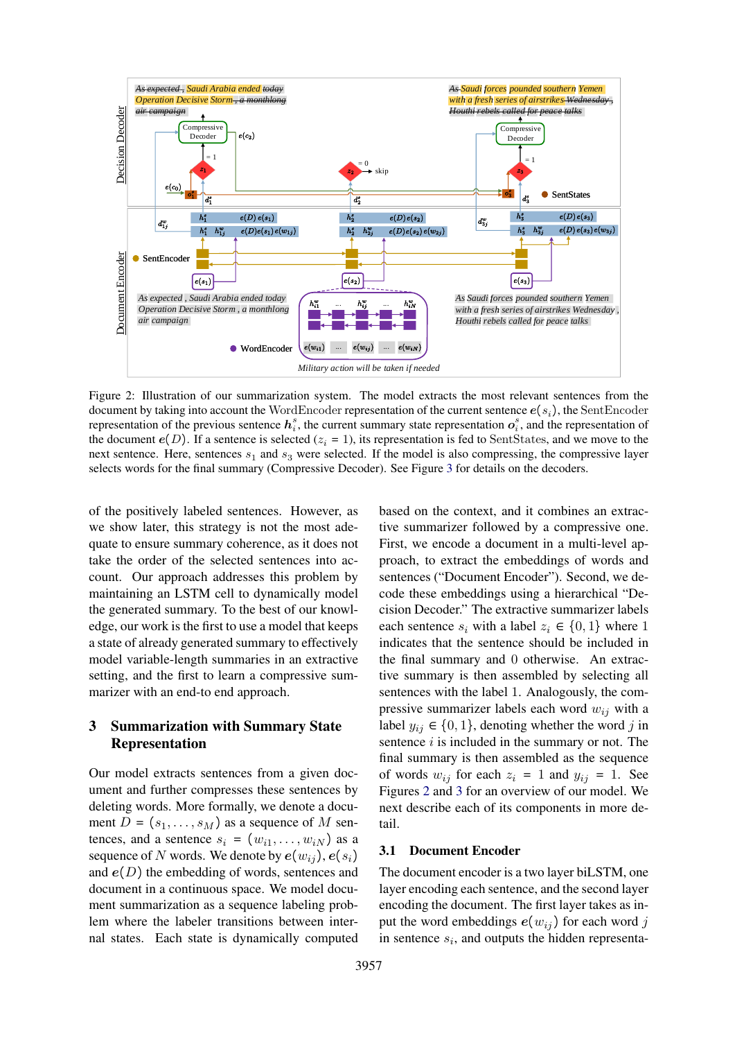

Figure 2: Illustration of our summarization system. The model extracts the most relevant sentences from the document by taking into account the WordEncoder representation of the current sentence  $e(s_i)$ , the SentEncoder representation of the previous sentence  $h_i^s$ , the current summary state representation  $o_i^s$ , and the representation of the document  $e(D)$ . If a sentence is selected  $(z<sub>i</sub> = 1)$ , its representation is fed to SentStates, and we move to the next sentence. Here, sentences  $s_1$  and  $s_3$  were selected. If the model is also compressing, the compressive layer selects words for the final summary (Compressive Decoder). See Figure 3 for details on the decoders.

of the positively labeled sentences. However, as we show later, this strategy is not the most adequate to ensure summary coherence, as it does not take the order of the selected sentences into account. Our approach addresses this problem by maintaining an LSTM cell to dynamically model the generated summary. To the best of our knowledge, our work is the first to use a model that keeps a state of already generated summary to effectively model variable-length summaries in an extractive setting, and the first to learn a compressive summarizer with an end-to end approach.

# 3 Summarization with Summary State Representation

Our model extracts sentences from a given document and further compresses these sentences by deleting words. More formally, we denote a document  $D = (s_1, \ldots, s_M)$  as a sequence of M sentences, and a sentence  $s_i = (w_{i1}, \ldots, w_{iN})$  as a sequence of N words. We denote by  $e(w_{ij}), e(s_i)$ and  $e(D)$  the embedding of words, sentences and document in a continuous space. We model document summarization as a sequence labeling problem where the labeler transitions between internal states. Each state is dynamically computed

based on the context, and it combines an extractive summarizer followed by a compressive one. First, we encode a document in a multi-level approach, to extract the embeddings of words and sentences ("Document Encoder"). Second, we decode these embeddings using a hierarchical "Decision Decoder." The extractive summarizer labels each sentence  $s_i$  with a label  $z_i \in \{0, 1\}$  where 1 indicates that the sentence should be included in the final summary and 0 otherwise. An extractive summary is then assembled by selecting all sentences with the label 1. Analogously, the compressive summarizer labels each word  $w_{ij}$  with a label  $y_{ij} \in \{0, 1\}$ , denoting whether the word j in sentence  $i$  is included in the summary or not. The final summary is then assembled as the sequence of words  $w_{ij}$  for each  $z_i = 1$  and  $y_{ij} = 1$ . See Figures 2 and 3 for an overview of our model. We next describe each of its components in more detail.

### 3.1 Document Encoder

The document encoder is a two layer biLSTM, one layer encoding each sentence, and the second layer encoding the document. The first layer takes as input the word embeddings  $e(w_{ij})$  for each word j in sentence  $s_i$ , and outputs the hidden representa-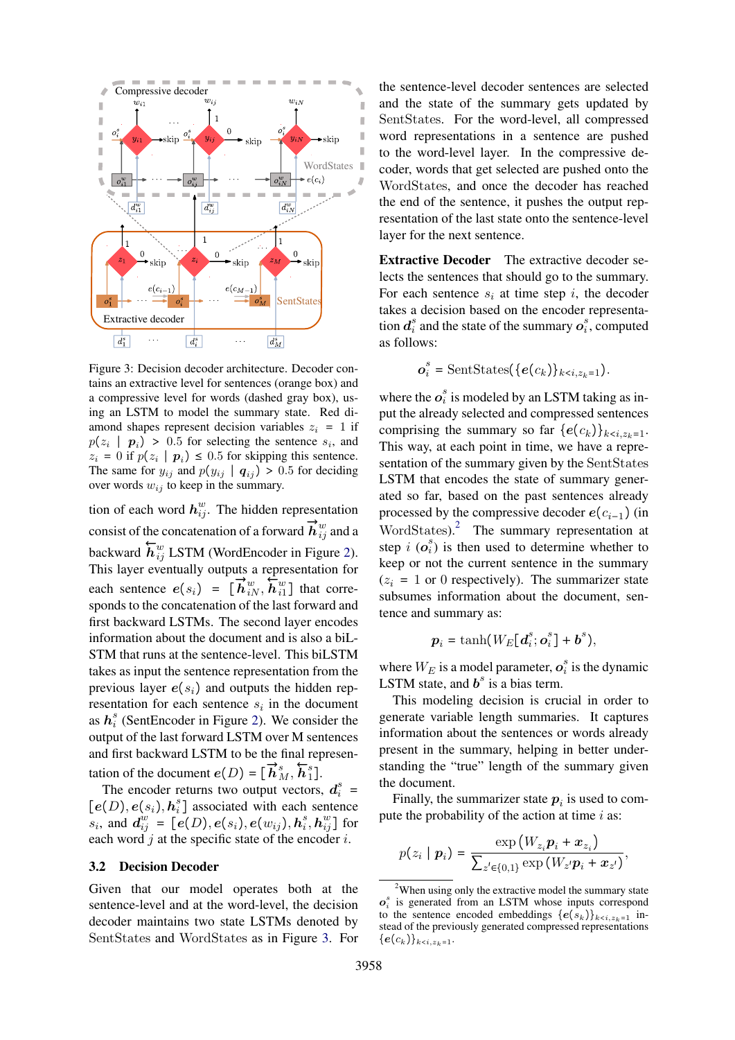

Figure 3: Decision decoder architecture. Decoder contains an extractive level for sentences (orange box) and a compressive level for words (dashed gray box), using an LSTM to model the summary state. Red diamond shapes represent decision variables  $z_i = 1$  if  $p(z_i | p_i) > 0.5$  for selecting the sentence  $s_i$ , and  $z_i = 0$  if  $p(z_i | p_i) \le 0.5$  for skipping this sentence. The same for  $y_{ij}$  and  $p(y_{ij} | q_{ij}) > 0.5$  for deciding over words  $w_{ij}$  to keep in the summary.

tion of each word  $h_{ij}^w$ . The hidden representation consist of the concatenation of a forward →−  $\overrightarrow{\bm{h}}^{w}_{ij}$  and a backward ←−  $\overleftarrow{h}_{ij}^w$  LSTM (WordEncoder in Figure 2). This layer eventually outputs a representation for each sentence  $e(s_i) = [\vec{h}_{iN}^w, \vec{h}_{i1}^w]$  that corresponds to the concatenation of the last forward and first backward LSTMs. The second layer encodes information about the document and is also a biL-STM that runs at the sentence-level. This biLSTM takes as input the sentence representation from the previous layer  $e(s_i)$  and outputs the hidden representation for each sentence  $s_i$  in the document as  $h_i^s$  (SentEncoder in Figure 2). We consider the output of the last forward LSTM over M sentences and first backward LSTM to be the final representation of the document  $e(D) = [$  $\ddot{\vec{r}}$  $\overrightarrow{\bm{h}}^s_M,$ ←−  $\overleftarrow{h}_1^s]$ .

The encoder returns two output vectors,  $d_i^s$  =  $[e(D), e(s_i), h_i^s]$  associated with each sentence  $s_i$ , and  $d_{ij}^{w} = [e(D), e(s_i), e(w_{ij}), h_i^s, h_{ij}^w]$  for each word  $j$  at the specific state of the encoder  $i$ .

### 3.2 Decision Decoder

Given that our model operates both at the sentence-level and at the word-level, the decision decoder maintains two state LSTMs denoted by SentStates and WordStates as in Figure 3. For

the sentence-level decoder sentences are selected and the state of the summary gets updated by SentStates. For the word-level, all compressed word representations in a sentence are pushed to the word-level layer. In the compressive decoder, words that get selected are pushed onto the WordStates, and once the decoder has reached the end of the sentence, it pushes the output representation of the last state onto the sentence-level layer for the next sentence.

Extractive Decoder The extractive decoder selects the sentences that should go to the summary. For each sentence  $s_i$  at time step i, the decoder takes a decision based on the encoder representation  $d_i^s$  and the state of the summary  $o_i^s$ , computed as follows:

$$
\boldsymbol{o}_{i}^{s} = \text{SentStates}(\{\boldsymbol{e}(c_k)\}_{k < i, z_k = 1}).
$$

where the  $o_i^s$  is modeled by an LSTM taking as input the already selected and compressed sentences comprising the summary so far  ${e(c_k)}_{k \leq i, z_k=1}$ . This way, at each point in time, we have a representation of the summary given by the SentStates LSTM that encodes the state of summary generated so far, based on the past sentences already processed by the compressive decoder  $e(c_{i-1})$  (in WordStates).<sup>2</sup> The summary representation at step  $i$  ( $o_i^s$ ) is then used to determine whether to keep or not the current sentence in the summary  $(z_i = 1 \text{ or } 0 \text{ respectively})$ . The summarizer state subsumes information about the document, sentence and summary as:

$$
\boldsymbol{p}_i = \tanh(W_E[\boldsymbol{d}_i^s; \boldsymbol{o}_i^s] + \boldsymbol{b}^s),
$$

where  $W_E$  is a model parameter,  $o_i^s$  is the dynamic LSTM state, and  $\mathbf{b}^s$  is a bias term.

This modeling decision is crucial in order to generate variable length summaries. It captures information about the sentences or words already present in the summary, helping in better understanding the "true" length of the summary given the document.

Finally, the summarizer state  $p_i$  is used to compute the probability of the action at time  $i$  as:

$$
p(z_i \mid \boldsymbol{p}_i) = \frac{\exp\left(W_{z_i} \boldsymbol{p}_i + \boldsymbol{x}_{z_i}\right)}{\sum_{z' \in \{0,1\}} \exp\left(W_{z'} \boldsymbol{p}_i + \boldsymbol{x}_{z'}\right)},
$$

 $2$ When using only the extractive model the summary state  $o_i^s$  is generated from an LSTM whose inputs correspond to the sentence encoded embeddings  ${e(s_k)}_{k \leq i, z_k=1}$  instead of the previously generated compressed representations  ${e(c_k)}_{k.$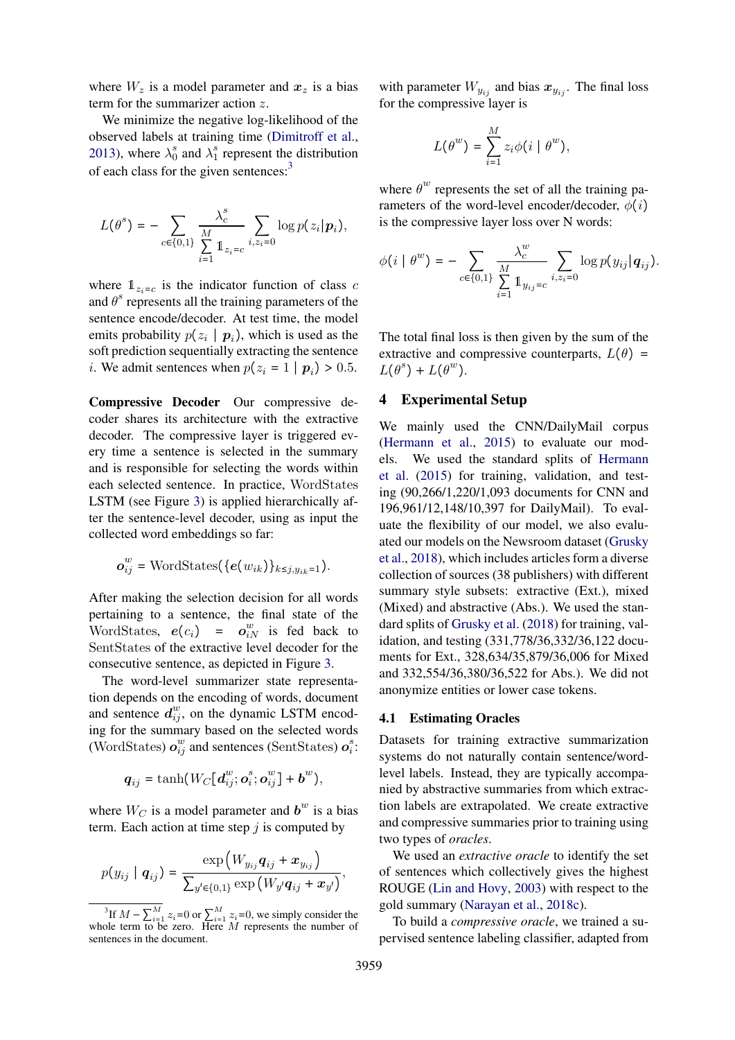where  $W_z$  is a model parameter and  $x_z$  is a bias term for the summarizer action z.

We minimize the negative log-likelihood of the observed labels at training time (Dimitroff et al., 2013), where  $\lambda_0^s$  and  $\lambda_1^s$  represent the distribution of each class for the given sentences:<sup>3</sup>

$$
L(\theta^s) = -\sum_{c \in \{0,1\}} \frac{\lambda_c^s}{\sum\limits_{i=1}^M \mathbb{1}_{z_i = c}} \sum_{i,z_i = 0} \log p(z_i | \mathbf{p}_i),
$$

where  $\mathbb{1}_{z_i=c}$  is the indicator function of class c and  $\theta^s$  represents all the training parameters of the sentence encode/decoder. At test time, the model emits probability  $p(z_i | p_i)$ , which is used as the soft prediction sequentially extracting the sentence *i*. We admit sentences when  $p(z_i = 1 | p_i) > 0.5$ .

Compressive Decoder Our compressive decoder shares its architecture with the extractive decoder. The compressive layer is triggered every time a sentence is selected in the summary and is responsible for selecting the words within each selected sentence. In practice, WordStates LSTM (see Figure 3) is applied hierarchically after the sentence-level decoder, using as input the collected word embeddings so far:

$$
\boldsymbol{o}_{ij}^{w} = \text{WordStates}(\{\boldsymbol{e}(w_{ik})\}_{k \leq j, y_{ik}=1}).
$$

After making the selection decision for all words pertaining to a sentence, the final state of the WordStates,  $e(c_i) = o_{iN}^w$  is fed back to SentStates of the extractive level decoder for the consecutive sentence, as depicted in Figure 3.

The word-level summarizer state representation depends on the encoding of words, document and sentence  $d_{ij}^w$ , on the dynamic LSTM encoding for the summary based on the selected words (WordStates)  $o_{ij}^w$  and sentences (SentStates)  $o_i^s$ :

$$
\boldsymbol{q}_{ij} = \tanh(W_C[\boldsymbol{d}_{ij}^w;\boldsymbol{o}_i^s;\boldsymbol{o}_{ij}^w] + \boldsymbol{b}^w),
$$

where  $W_C$  is a model parameter and  $\boldsymbol{b}^w$  is a bias term. Each action at time step  $j$  is computed by

$$
p(y_{ij} | q_{ij}) = \frac{\exp (W_{y_{ij}} q_{ij} + x_{y_{ij}})}{\sum_{y' \in \{0,1\}} \exp (W_{y'} q_{ij} + x_{y'})},
$$

with parameter  $W_{y_{ij}}$  and bias  $x_{y_{ij}}$ . The final loss for the compressive layer is

$$
L(\theta^w) = \sum_{i=1}^M z_i \phi(i \mid \theta^w),
$$

where  $\theta^w$  represents the set of all the training parameters of the word-level encoder/decoder,  $\phi(i)$ is the compressive layer loss over N words:

$$
\phi(i | \theta^{w}) = - \sum_{c \in \{0,1\}} \frac{\lambda_c^{w}}{\sum_{i=1}^M 1_{y_{ij}=c}} \sum_{i,z_i=0} \log p(y_{ij} | q_{ij}).
$$

The total final loss is then given by the sum of the extractive and compressive counterparts,  $L(\theta)$  =  $L(\theta^s) + L(\theta^w)$ .

# 4 Experimental Setup

We mainly used the CNN/DailyMail corpus (Hermann et al., 2015) to evaluate our models. We used the standard splits of Hermann et al. (2015) for training, validation, and testing (90,266/1,220/1,093 documents for CNN and 196,961/12,148/10,397 for DailyMail). To evaluate the flexibility of our model, we also evaluated our models on the Newsroom dataset (Grusky et al., 2018), which includes articles form a diverse collection of sources (38 publishers) with different summary style subsets: extractive (Ext.), mixed (Mixed) and abstractive (Abs.). We used the standard splits of Grusky et al. (2018) for training, validation, and testing (331,778/36,332/36,122 documents for Ext., 328,634/35,879/36,006 for Mixed and 332,554/36,380/36,522 for Abs.). We did not anonymize entities or lower case tokens.

### 4.1 Estimating Oracles

Datasets for training extractive summarization systems do not naturally contain sentence/wordlevel labels. Instead, they are typically accompanied by abstractive summaries from which extraction labels are extrapolated. We create extractive and compressive summaries prior to training using two types of *oracles*.

We used an *extractive oracle* to identify the set of sentences which collectively gives the highest ROUGE (Lin and Hovy, 2003) with respect to the gold summary (Narayan et al., 2018c).

To build a *compressive oracle*, we trained a supervised sentence labeling classifier, adapted from

<sup>&</sup>lt;sup>3</sup>If  $M - \sum_{i=1}^{M} z_i = 0$  or  $\sum_{i=1}^{M} z_i = 0$ , we simply consider the whole term to be zero. Here  $M$  represents the number of sentences in the document.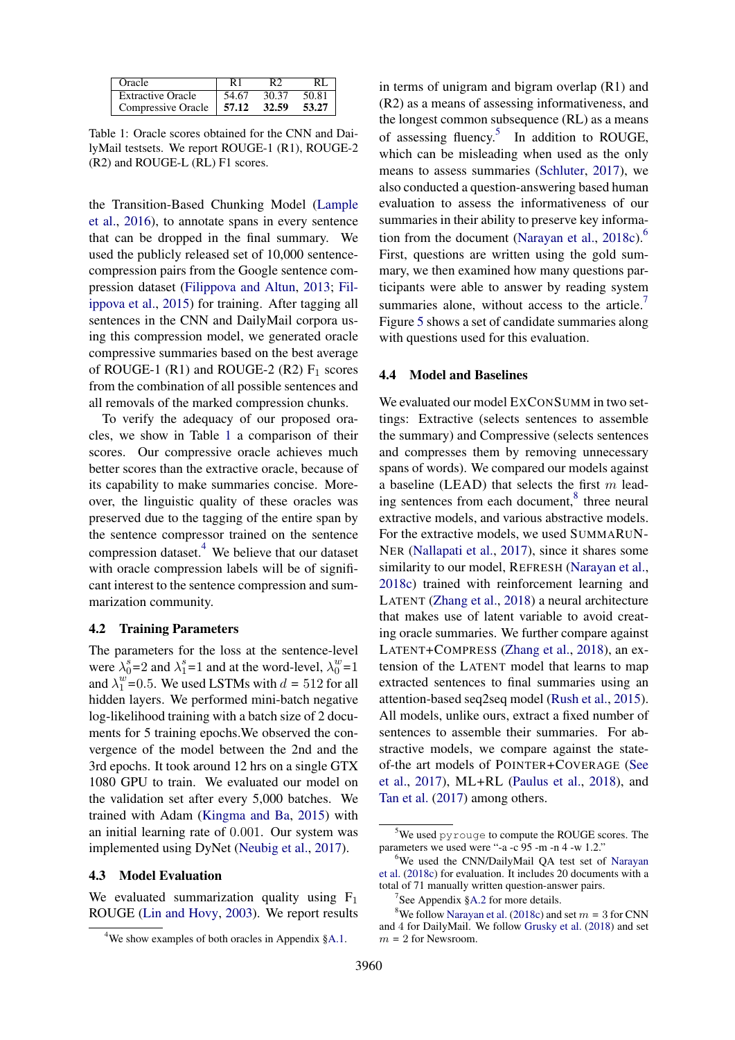| Oracle                   |       | DΟ    | RI    |
|--------------------------|-------|-------|-------|
| <b>Extractive Oracle</b> | 54.67 | 30.37 | 50.81 |
| Compressive Oracle       | 57.12 | 32.59 | 53.27 |

Table 1: Oracle scores obtained for the CNN and DailyMail testsets. We report ROUGE-1 (R1), ROUGE-2 (R2) and ROUGE-L (RL) F1 scores.

the Transition-Based Chunking Model (Lample et al., 2016), to annotate spans in every sentence that can be dropped in the final summary. We used the publicly released set of 10,000 sentencecompression pairs from the Google sentence compression dataset (Filippova and Altun, 2013; Filippova et al., 2015) for training. After tagging all sentences in the CNN and DailyMail corpora using this compression model, we generated oracle compressive summaries based on the best average of ROUGE-1 (R1) and ROUGE-2 (R2)  $F_1$  scores from the combination of all possible sentences and all removals of the marked compression chunks.

To verify the adequacy of our proposed oracles, we show in Table 1 a comparison of their scores. Our compressive oracle achieves much better scores than the extractive oracle, because of its capability to make summaries concise. Moreover, the linguistic quality of these oracles was preserved due to the tagging of the entire span by the sentence compressor trained on the sentence compression dataset.<sup>4</sup> We believe that our dataset with oracle compression labels will be of significant interest to the sentence compression and summarization community.

### 4.2 Training Parameters

The parameters for the loss at the sentence-level were  $\lambda_0^s = 2$  and  $\lambda_1^s = 1$  and at the word-level,  $\lambda_0^w = 1$ and  $\lambda_1^w = 0.5$ . We used LSTMs with  $d = 512$  for all hidden layers. We performed mini-batch negative log-likelihood training with a batch size of 2 documents for 5 training epochs.We observed the convergence of the model between the 2nd and the 3rd epochs. It took around 12 hrs on a single GTX 1080 GPU to train. We evaluated our model on the validation set after every 5,000 batches. We trained with Adam (Kingma and Ba, 2015) with an initial learning rate of 0.001. Our system was implemented using DyNet (Neubig et al., 2017).

#### 4.3 Model Evaluation

We evaluated summarization quality using  $F_1$ ROUGE (Lin and Hovy, 2003). We report results

in terms of unigram and bigram overlap (R1) and (R2) as a means of assessing informativeness, and the longest common subsequence (RL) as a means of assessing fluency.<sup>5</sup> In addition to ROUGE, which can be misleading when used as the only means to assess summaries (Schluter, 2017), we also conducted a question-answering based human evaluation to assess the informativeness of our summaries in their ability to preserve key information from the document (Narayan et al.,  $2018c$ ).<sup>6</sup> First, questions are written using the gold summary, we then examined how many questions participants were able to answer by reading system summaries alone, without access to the article. $<sup>7</sup>$ </sup> Figure 5 shows a set of candidate summaries along with questions used for this evaluation.

### 4.4 Model and Baselines

We evaluated our model EXCONSUMM in two settings: Extractive (selects sentences to assemble the summary) and Compressive (selects sentences and compresses them by removing unnecessary spans of words). We compared our models against a baseline (LEAD) that selects the first  $m$  leading sentences from each document,<sup>8</sup> three neural extractive models, and various abstractive models. For the extractive models, we used SUMMARUN-NER (Nallapati et al., 2017), since it shares some similarity to our model, REFRESH (Narayan et al., 2018c) trained with reinforcement learning and LATENT (Zhang et al., 2018) a neural architecture that makes use of latent variable to avoid creating oracle summaries. We further compare against LATENT+COMPRESS (Zhang et al., 2018), an extension of the LATENT model that learns to map extracted sentences to final summaries using an attention-based seq2seq model (Rush et al., 2015). All models, unlike ours, extract a fixed number of sentences to assemble their summaries. For abstractive models, we compare against the stateof-the art models of POINTER+COVERAGE (See et al., 2017), ML+RL (Paulus et al., 2018), and Tan et al. (2017) among others.

<sup>&</sup>lt;sup>4</sup>We show examples of both oracles in Appendix §A.1.

 $5$ We used pyrouge to compute the ROUGE scores. The parameters we used were "-a -c 95 -m -n 4 -w 1.2."

<sup>&</sup>lt;sup>6</sup>We used the CNN/DailyMail OA test set of Narayan et al. (2018c) for evaluation. It includes 20 documents with a total of 71 manually written question-answer pairs.

 $7$ See Appendix §A.2 for more details.

<sup>&</sup>lt;sup>8</sup>We follow Narayan et al. (2018c) and set  $m = 3$  for CNN and 4 for DailyMail. We follow Grusky et al. (2018) and set  $m = 2$  for Newsroom.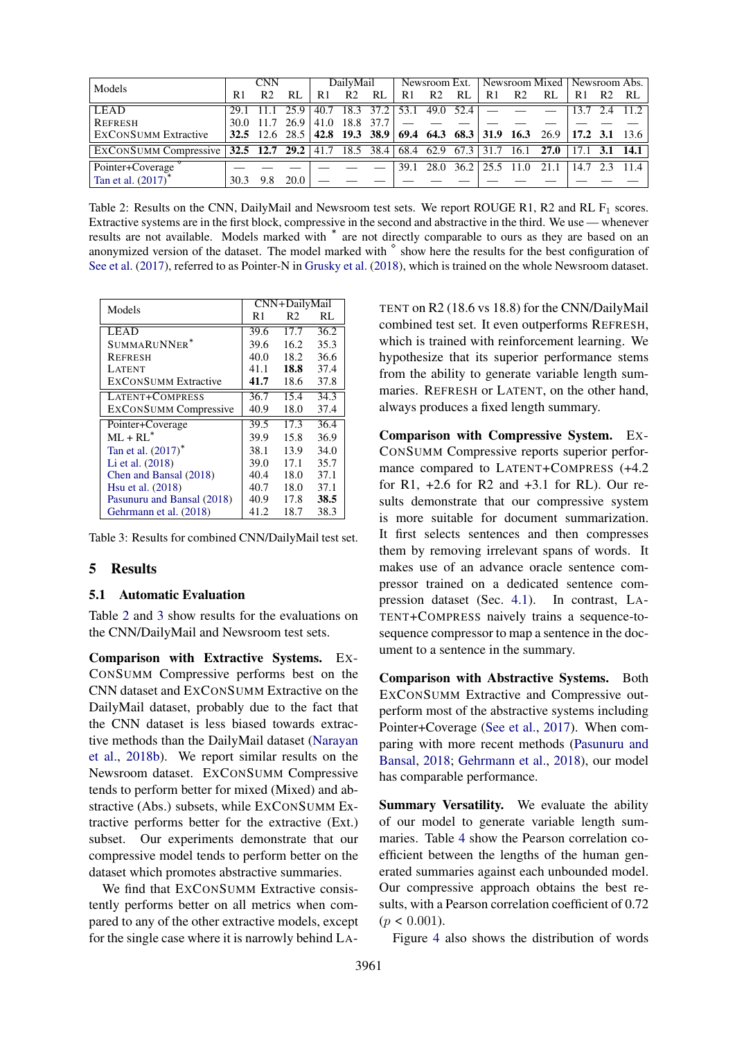| Models                                                                       | CNN  |                | DailvMail         |      | Newsroom Ext.  |           | Newsroom Mixed   Newsroom Abs. |                |    |                            |                |                                                                           |              |                |                  |
|------------------------------------------------------------------------------|------|----------------|-------------------|------|----------------|-----------|--------------------------------|----------------|----|----------------------------|----------------|---------------------------------------------------------------------------|--------------|----------------|------------------|
|                                                                              | R1   | R <sub>2</sub> | RL                | R1   | R <sub>2</sub> | RL        | R1                             | R <sub>2</sub> | RL | R1                         | R <sub>2</sub> | RL                                                                        | R1           | R <sub>2</sub> | RL               |
| <b>LEAD</b>                                                                  |      |                | 25.9              |      |                |           | 40.7 18.3 37.2 33.1 49.0 52.4  |                |    |                            |                |                                                                           | 13.7         |                |                  |
| <b>REFRESH</b>                                                               | 30.0 |                | 26.9 <sub>1</sub> | 41.0 |                | 18.8 37.7 |                                |                |    |                            |                |                                                                           |              |                |                  |
| <b>EXCONSUMM Extractive</b>                                                  |      |                |                   |      |                |           |                                |                |    |                            |                | 32.5 12.6 28.5 42.8 19.3 38.9 69.4 64.3 68.3 31.9 16.3 26.9 17.2 3.1 13.6 |              |                |                  |
| EXCONSUMM Compressive 32.5 12.7 29.2 41.7 18.5 38.4 68.4 62.9 67.3 31.7 16.1 |      |                |                   |      |                |           |                                |                |    |                            |                | 27.0                                                                      | 17.1         |                | $3.1 \quad 14.1$ |
| Pointer+Coverage                                                             |      |                |                   |      |                |           | 39.1                           | 28.0           |    | $36.2 \mid 25.5 \mid 11.0$ |                | 21.1                                                                      | $14.7 \t2.3$ |                | 11.4             |
| Tan et al. $(2017)^*$                                                        | 30.3 |                | 20.0              |      |                |           |                                |                |    |                            |                |                                                                           |              |                |                  |

Table 2: Results on the CNN, DailyMail and Newsroom test sets. We report ROUGE R1, R2 and RL  $F_1$  scores. Extractive systems are in the first block, compressive in the second and abstractive in the third. We use — whenever results are not available. Models marked with <sup>∗</sup> are not directly comparable to ours as they are based on an anonymized version of the dataset. The model marked with <sup>*⊗*</sup> show here the results for the best configuration of See et al. (2017), referred to as Pointer-N in Grusky et al. (2018), which is trained on the whole Newsroom dataset.

| Models                         | CNN+DailyMail |      |      |  |  |  |  |  |
|--------------------------------|---------------|------|------|--|--|--|--|--|
|                                | R1            | R2   | RL   |  |  |  |  |  |
| <b>LEAD</b>                    | 39.6          | 17.7 | 36.2 |  |  |  |  |  |
| SUMMARUNNER <sup>*</sup>       | 39.6          | 16.2 | 35.3 |  |  |  |  |  |
| REFRESH                        | 40.0          | 18.2 | 36.6 |  |  |  |  |  |
| <b>LATENT</b>                  | 41.1          | 18.8 | 37.4 |  |  |  |  |  |
| <b>EXCONSUMM Extractive</b>    | 41.7          | 18.6 | 37.8 |  |  |  |  |  |
| LATENT+COMPRESS                | 36.7          | 15.4 | 34.3 |  |  |  |  |  |
| <b>EXCONSUMM</b> Compressive   | 40.9          | 18.0 | 37.4 |  |  |  |  |  |
| Pointer+Coverage               | 39.5          | 17.3 | 36.4 |  |  |  |  |  |
| $ML + RL^*$                    | 39.9          | 15.8 | 36.9 |  |  |  |  |  |
| Tan et al. (2017) <sup>*</sup> | 38.1          | 13.9 | 34.0 |  |  |  |  |  |
| Li et al. (2018)               | 39.0          | 17.1 | 35.7 |  |  |  |  |  |
| Chen and Bansal (2018)         | 40.4          | 18.0 | 37.1 |  |  |  |  |  |
| Hsu et al. (2018)              | 40.7          | 18.0 | 37.1 |  |  |  |  |  |
| Pasunuru and Bansal (2018)     | 40.9          | 17.8 | 38.5 |  |  |  |  |  |
| Gehrmann et al. (2018)         | 41.2          | 18.7 | 38.3 |  |  |  |  |  |

Table 3: Results for combined CNN/DailyMail test set.

## 5 Results

#### 5.1 Automatic Evaluation

Table 2 and 3 show results for the evaluations on the CNN/DailyMail and Newsroom test sets.

Comparison with Extractive Systems. EX-CONSUMM Compressive performs best on the CNN dataset and EXCONSUMM Extractive on the DailyMail dataset, probably due to the fact that the CNN dataset is less biased towards extractive methods than the DailyMail dataset (Narayan et al., 2018b). We report similar results on the Newsroom dataset. EXCONSUMM Compressive tends to perform better for mixed (Mixed) and abstractive (Abs.) subsets, while EXCONSUMM Extractive performs better for the extractive (Ext.) subset. Our experiments demonstrate that our compressive model tends to perform better on the dataset which promotes abstractive summaries.

We find that EXCONSUMM Extractive consistently performs better on all metrics when compared to any of the other extractive models, except for the single case where it is narrowly behind LA-

TENT on R2 (18.6 vs 18.8) for the CNN/DailyMail combined test set. It even outperforms REFRESH, which is trained with reinforcement learning. We hypothesize that its superior performance stems from the ability to generate variable length summaries. REFRESH or LATENT, on the other hand, always produces a fixed length summary.

Comparison with Compressive System. EX-CONSUMM Compressive reports superior performance compared to LATENT+COMPRESS (+4.2 for R1, +2.6 for R2 and +3.1 for RL). Our results demonstrate that our compressive system is more suitable for document summarization. It first selects sentences and then compresses them by removing irrelevant spans of words. It makes use of an advance oracle sentence compressor trained on a dedicated sentence compression dataset (Sec. 4.1). In contrast, LA-TENT+COMPRESS naively trains a sequence-tosequence compressor to map a sentence in the document to a sentence in the summary.

Comparison with Abstractive Systems. Both EXCONSUMM Extractive and Compressive outperform most of the abstractive systems including Pointer+Coverage (See et al., 2017). When comparing with more recent methods (Pasunuru and Bansal, 2018; Gehrmann et al., 2018), our model has comparable performance.

Summary Versatility. We evaluate the ability of our model to generate variable length summaries. Table 4 show the Pearson correlation coefficient between the lengths of the human generated summaries against each unbounded model. Our compressive approach obtains the best results, with a Pearson correlation coefficient of 0.72  $(p < 0.001)$ .

Figure 4 also shows the distribution of words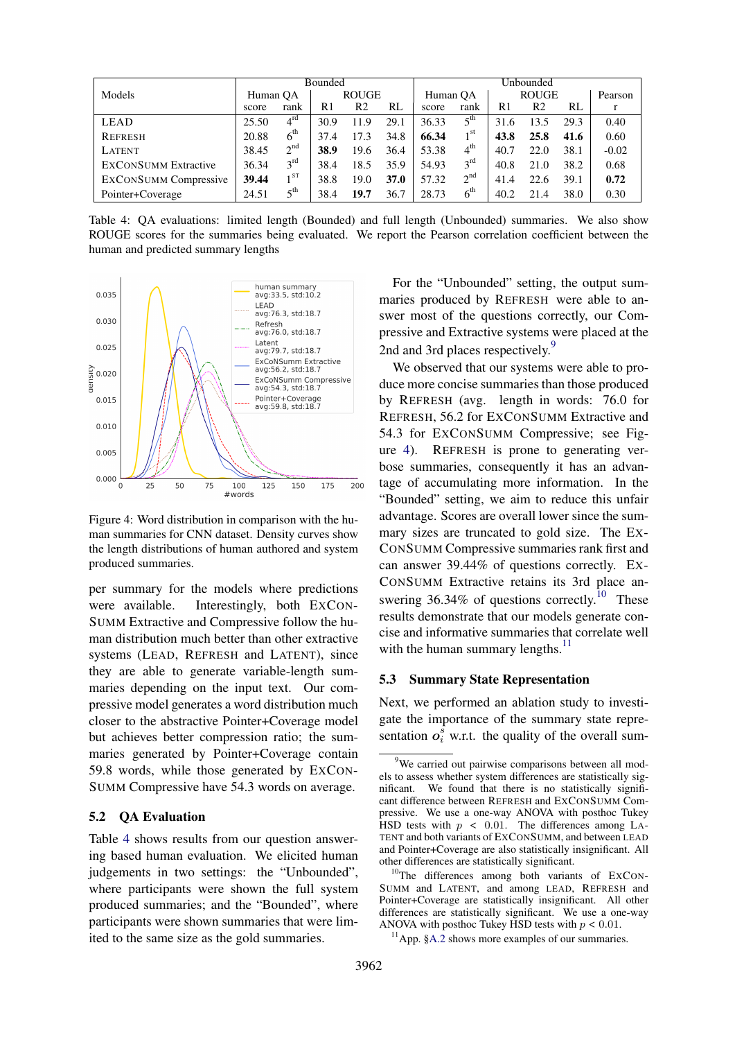|                              |       |                          | Bounded |                |             | Unbounded |                 |      |                |         |         |  |
|------------------------------|-------|--------------------------|---------|----------------|-------------|-----------|-----------------|------|----------------|---------|---------|--|
| Models                       |       | <b>ROUGE</b><br>Human OA |         |                | Human OA    |           | <b>ROUGE</b>    |      |                | Pearson |         |  |
|                              | score | rank                     | R1      | R <sub>2</sub> | RL          | score     | rank            | R1   | R <sub>2</sub> | RL      |         |  |
| LEAD                         | 25.50 | $4^{rd}$                 | 30.9    | 11.9           | 29.1        | 36.33     | $5^{\text{th}}$ | 31.6 | 13.5           | 29.3    | 0.40    |  |
| <b>REFRESH</b>               | 20.88 | $6^{\text{th}}$          | 37.4    | 17.3           | 34.8        | 66.34     | 1 <sup>st</sup> | 43.8 | 25.8           | 41.6    | 0.60    |  |
| <b>LATENT</b>                | 38.45 | $2^{nd}$                 | 38.9    | 19.6           | 36.4        | 53.38     | $4^{\text{th}}$ | 40.7 | 22.0           | 38.1    | $-0.02$ |  |
| <b>EXCONSUMM Extractive</b>  | 36.34 | $3^{\text{rd}}$          | 38.4    | 18.5           | 35.9        | 54.93     | $3^{\text{rd}}$ | 40.8 | 21.0           | 38.2    | 0.68    |  |
| <b>EXCONSUMM</b> Compressive | 39.44 | $\overline{1}$ ST        | 38.8    | 19.0           | <b>37.0</b> | 57.32     | 2 <sup>nd</sup> | 41.4 | 22.6           | 39.1    | 0.72    |  |
| Pointer+Coverage             | 24.51 | $5^{\text{th}}$          | 38.4    | 19.7           | 36.7        | 28.73     | 6 <sup>th</sup> | 40.2 | 21.4           | 38.0    | 0.30    |  |

Table 4: QA evaluations: limited length (Bounded) and full length (Unbounded) summaries. We also show ROUGE scores for the summaries being evaluated. We report the Pearson correlation coefficient between the human and predicted summary lengths



Figure 4: Word distribution in comparison with the human summaries for CNN dataset. Density curves show the length distributions of human authored and system produced summaries.

per summary for the models where predictions were available. Interestingly, both EXCON-SUMM Extractive and Compressive follow the human distribution much better than other extractive systems (LEAD, REFRESH and LATENT), since they are able to generate variable-length summaries depending on the input text. Our compressive model generates a word distribution much closer to the abstractive Pointer+Coverage model but achieves better compression ratio; the summaries generated by Pointer+Coverage contain 59.8 words, while those generated by EXCON-SUMM Compressive have 54.3 words on average.

### 5.2 QA Evaluation

Table 4 shows results from our question answering based human evaluation. We elicited human judgements in two settings: the "Unbounded", where participants were shown the full system produced summaries; and the "Bounded", where participants were shown summaries that were limited to the same size as the gold summaries.

For the "Unbounded" setting, the output summaries produced by REFRESH were able to answer most of the questions correctly, our Compressive and Extractive systems were placed at the 2nd and 3rd places respectively.<sup>9</sup>

We observed that our systems were able to produce more concise summaries than those produced by REFRESH (avg. length in words: 76.0 for REFRESH, 56.2 for EXCONSUMM Extractive and 54.3 for EXCONSUMM Compressive; see Figure 4). REFRESH is prone to generating verbose summaries, consequently it has an advantage of accumulating more information. In the "Bounded" setting, we aim to reduce this unfair advantage. Scores are overall lower since the summary sizes are truncated to gold size. The EX-CONSUMM Compressive summaries rank first and can answer 39.44% of questions correctly. EX-CONSUMM Extractive retains its 3rd place answering 36.34% of questions correctly.<sup>10</sup> These results demonstrate that our models generate concise and informative summaries that correlate well with the human summary lengths. $11$ 

#### 5.3 Summary State Representation

Next, we performed an ablation study to investigate the importance of the summary state representation  $o_i^{\hat{s}}$  w.r.t. the quality of the overall sum-

<sup>&</sup>lt;sup>9</sup>We carried out pairwise comparisons between all models to assess whether system differences are statistically significant. We found that there is no statistically significant difference between REFRESH and EXCONSUMM Compressive. We use a one-way ANOVA with posthoc Tukey HSD tests with  $p \le 0.01$ . The differences among LA-TENT and both variants of EXCONSUMM, and between LEAD and Pointer+Coverage are also statistically insignificant. All other differences are statistically significant.

<sup>&</sup>lt;sup>10</sup>The differences among both variants of EXCON-SUMM and LATENT, and among LEAD, REFRESH and Pointer+Coverage are statistically insignificant. All other differences are statistically significant. We use a one-way ANOVA with posthoc Tukey HSD tests with  $p < 0.01$ .

 $<sup>11</sup>$ App. §A.2 shows more examples of our summaries.</sup>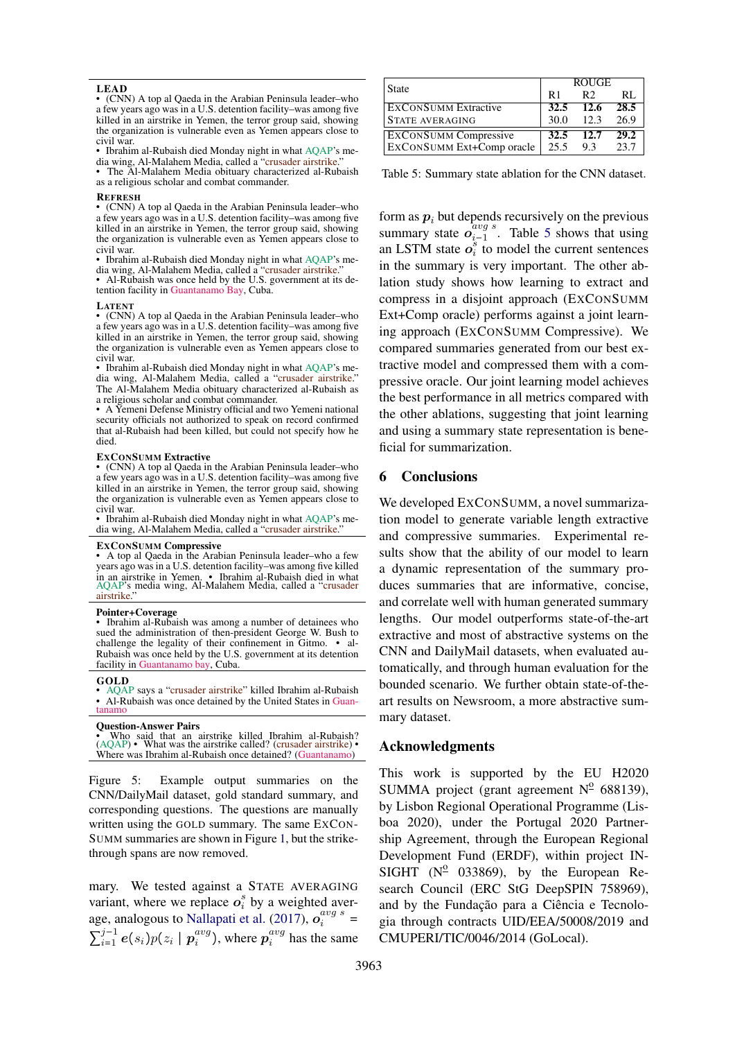#### LEAD

• (CNN) A top al Qaeda in the Arabian Peninsula leader–who a few years ago was in a U.S. detention facility–was among five killed in an airstrike in Yemen, the terror group said, showing the organization is vulnerable even as Yemen appears close to civil war.

• Ibrahim al-Rubaish died Monday night in what AQAP's media wing, Al-Malahem Media, called a "crusader airstrike.

• The Al-Malahem Media obituary characterized al-Rubaish as a religious scholar and combat commander.

#### **REFRESH**

• (CNN) A top al Qaeda in the Arabian Peninsula leader–who a few years ago was in a U.S. detention facility–was among five killed in an airstrike in Yemen, the terror group said, showing the organization is vulnerable even as Yemen appears close to civil war.

• Ibrahim al-Rubaish died Monday night in what AQAP's media wing, Al-Malahem Media, called a "crusader airstrike." • Al-Rubaish was once held by the U.S. government at its de-

tention facility in Guantanamo Bay, Cuba.

#### LATENT

• (CNN) A top al Qaeda in the Arabian Peninsula leader–who a few years ago was in a U.S. detention facility–was among five killed in an airstrike in Yemen, the terror group said, showing the organization is vulnerable even as Yemen appears close to civil war.

• Ibrahim al-Rubaish died Monday night in what AQAP's media wing, Al-Malahem Media, called a "crusader airstrike." The Al-Malahem Media obituary characterized al-Rubaish as a religious scholar and combat commander.

• A Yemeni Defense Ministry official and two Yemeni national security officials not authorized to speak on record confirmed that al-Rubaish had been killed, but could not specify how he died.

#### EXCONSUMM Extractive

• (CNN) A top al Qaeda in the Arabian Peninsula leader–who a few years ago was in a U.S. detention facility–was among five killed in an airstrike in Yemen, the terror group said, showing the organization is vulnerable even as Yemen appears close to civil war.

• Ibrahim al-Rubaish died Monday night in what AQAP's media wing, Al-Malahem Media, called a "crusader airstrike."

#### EXCONSUMM Compressive

• A top al Qaeda in the Arabian Peninsula leader–who a few years ago was in a U.S. detention facility–was among five killed in an airstrike in Yemen. • Ibrahim al-Rubaish died in what AQAP's media wing, Al-Malahem Media, called a "crusader airstrike."

#### Pointer+Coverage

• Ibrahim al-Rubaish was among a number of detainees who sued the administration of then-president George W. Bush to challenge the legality of their confinement in Gitmo. • al-Rubaish was once held by the U.S. government at its detention facility in Guantanamo bay, Cuba.

#### GOLD

• AQAP says a "crusader airstrike" killed Ibrahim al-Rubaish • Al-Rubaish was once detained by the United States in Guan-tanamo

#### Question-Answer Pairs

• Who said that an airstrike killed Ibrahim al-Rubaish?<br>(AQAP) • What was the airstrike called? (crusader airstrike) • Where was Ibrahim al-Rubaish once detained? (Guantanamo)

Figure 5: Example output summaries on the CNN/DailyMail dataset, gold standard summary, and corresponding questions. The questions are manually written using the GOLD summary. The same EXCON-SUMM summaries are shown in Figure 1, but the strikethrough spans are now removed.

mary. We tested against a STATE AVERAGING variant, where we replace  $o_i^s$  by a weighted average, analogous to Nallapati et al. (2017),  $o_i^{avg \ s}$  =  $\sum_{i=1}^{j-1} e(s_i) p(z_i \mid \boldsymbol{p}_i^{avg})$  $i^{avg}$  ), where  $p_i^{avg}$  $i^{avg}$  has the same

| <b>State</b>                 | <b>ROUGE</b> |                |      |  |  |  |  |
|------------------------------|--------------|----------------|------|--|--|--|--|
|                              | R1           | R <sub>2</sub> | RL.  |  |  |  |  |
| <b>EXCONSUMM Extractive</b>  | 32.5         | 12.6           | 28.5 |  |  |  |  |
| <b>STATE AVERAGING</b>       | 30.0         | 12.3           | 26.9 |  |  |  |  |
| <b>EXCONSUMM</b> Compressive | 32.5         | 12.7           | 29.2 |  |  |  |  |
| EXCONSUMM Ext+Comp oracle    | 25.5         | 93             | 23.7 |  |  |  |  |

Table 5: Summary state ablation for the CNN dataset.

form as  $p_i$  but depends recursively on the previous summary state  $o_{i-1}^{avg \ s}$ . Table 5 shows that using an LSTM state  $o_i^s$  to model the current sentences in the summary is very important. The other ablation study shows how learning to extract and compress in a disjoint approach (EXCONSUMM Ext+Comp oracle) performs against a joint learning approach (EXCONSUMM Compressive). We compared summaries generated from our best extractive model and compressed them with a compressive oracle. Our joint learning model achieves the best performance in all metrics compared with the other ablations, suggesting that joint learning and using a summary state representation is beneficial for summarization.

#### 6 Conclusions

We developed EXCONSUMM, a novel summarization model to generate variable length extractive and compressive summaries. Experimental results show that the ability of our model to learn a dynamic representation of the summary produces summaries that are informative, concise, and correlate well with human generated summary lengths. Our model outperforms state-of-the-art extractive and most of abstractive systems on the CNN and DailyMail datasets, when evaluated automatically, and through human evaluation for the bounded scenario. We further obtain state-of-theart results on Newsroom, a more abstractive summary dataset.

#### Acknowledgments

This work is supported by the EU H2020 SUMMA project (grant agreement  $N^2$  688139), by Lisbon Regional Operational Programme (Lisboa 2020), under the Portugal 2020 Partnership Agreement, through the European Regional Development Fund (ERDF), within project IN-SIGHT  $(N^2$  033869), by the European Research Council (ERC StG DeepSPIN 758969), and by the Fundação para a Ciência e Tecnologia through contracts UID/EEA/50008/2019 and CMUPERI/TIC/0046/2014 (GoLocal).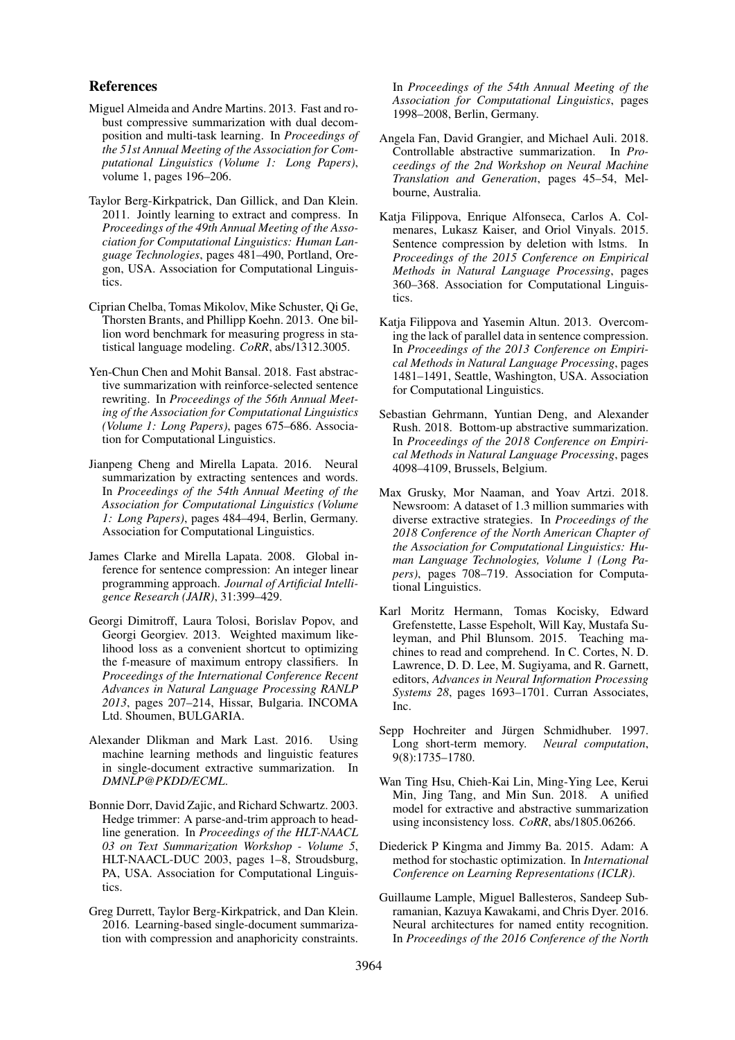### References

- Miguel Almeida and Andre Martins. 2013. Fast and robust compressive summarization with dual decomposition and multi-task learning. In *Proceedings of the 51st Annual Meeting of the Association for Computational Linguistics (Volume 1: Long Papers)*, volume 1, pages 196–206.
- Taylor Berg-Kirkpatrick, Dan Gillick, and Dan Klein. 2011. Jointly learning to extract and compress. In *Proceedings of the 49th Annual Meeting of the Association for Computational Linguistics: Human Language Technologies*, pages 481–490, Portland, Oregon, USA. Association for Computational Linguistics.
- Ciprian Chelba, Tomas Mikolov, Mike Schuster, Qi Ge, Thorsten Brants, and Phillipp Koehn. 2013. One billion word benchmark for measuring progress in statistical language modeling. *CoRR*, abs/1312.3005.
- Yen-Chun Chen and Mohit Bansal. 2018. Fast abstractive summarization with reinforce-selected sentence rewriting. In *Proceedings of the 56th Annual Meeting of the Association for Computational Linguistics (Volume 1: Long Papers)*, pages 675–686. Association for Computational Linguistics.
- Jianpeng Cheng and Mirella Lapata. 2016. Neural summarization by extracting sentences and words. In *Proceedings of the 54th Annual Meeting of the Association for Computational Linguistics (Volume 1: Long Papers)*, pages 484–494, Berlin, Germany. Association for Computational Linguistics.
- James Clarke and Mirella Lapata. 2008. Global inference for sentence compression: An integer linear programming approach. *Journal of Artificial Intelligence Research (JAIR)*, 31:399–429.
- Georgi Dimitroff, Laura Tolosi, Borislav Popov, and Georgi Georgiev. 2013. Weighted maximum likelihood loss as a convenient shortcut to optimizing the f-measure of maximum entropy classifiers. In *Proceedings of the International Conference Recent Advances in Natural Language Processing RANLP 2013*, pages 207–214, Hissar, Bulgaria. INCOMA Ltd. Shoumen, BULGARIA.
- Alexander Dlikman and Mark Last. 2016. Using machine learning methods and linguistic features in single-document extractive summarization. In *DMNLP@PKDD/ECML*.
- Bonnie Dorr, David Zajic, and Richard Schwartz. 2003. Hedge trimmer: A parse-and-trim approach to headline generation. In *Proceedings of the HLT-NAACL 03 on Text Summarization Workshop - Volume 5*, HLT-NAACL-DUC 2003, pages 1–8, Stroudsburg, PA, USA. Association for Computational Linguistics.
- Greg Durrett, Taylor Berg-Kirkpatrick, and Dan Klein. 2016. Learning-based single-document summarization with compression and anaphoricity constraints.

In *Proceedings of the 54th Annual Meeting of the Association for Computational Linguistics*, pages 1998–2008, Berlin, Germany.

- Angela Fan, David Grangier, and Michael Auli. 2018. Controllable abstractive summarization. In *Proceedings of the 2nd Workshop on Neural Machine Translation and Generation*, pages 45–54, Melbourne, Australia.
- Katja Filippova, Enrique Alfonseca, Carlos A. Colmenares, Lukasz Kaiser, and Oriol Vinyals. 2015. Sentence compression by deletion with lstms. In *Proceedings of the 2015 Conference on Empirical Methods in Natural Language Processing*, pages 360–368. Association for Computational Linguistics.
- Katia Filippova and Yasemin Altun. 2013. Overcoming the lack of parallel data in sentence compression. In *Proceedings of the 2013 Conference on Empirical Methods in Natural Language Processing*, pages 1481–1491, Seattle, Washington, USA. Association for Computational Linguistics.
- Sebastian Gehrmann, Yuntian Deng, and Alexander Rush. 2018. Bottom-up abstractive summarization. In *Proceedings of the 2018 Conference on Empirical Methods in Natural Language Processing*, pages 4098–4109, Brussels, Belgium.
- Max Grusky, Mor Naaman, and Yoav Artzi. 2018. Newsroom: A dataset of 1.3 million summaries with diverse extractive strategies. In *Proceedings of the 2018 Conference of the North American Chapter of the Association for Computational Linguistics: Human Language Technologies, Volume 1 (Long Papers)*, pages 708–719. Association for Computational Linguistics.
- Karl Moritz Hermann, Tomas Kocisky, Edward Grefenstette, Lasse Espeholt, Will Kay, Mustafa Suleyman, and Phil Blunsom. 2015. Teaching machines to read and comprehend. In C. Cortes, N. D. Lawrence, D. D. Lee, M. Sugiyama, and R. Garnett, editors, *Advances in Neural Information Processing Systems 28*, pages 1693–1701. Curran Associates, Inc.
- Sepp Hochreiter and Jürgen Schmidhuber. 1997. Long short-term memory. *Neural computation*, 9(8):1735–1780.
- Wan Ting Hsu, Chieh-Kai Lin, Ming-Ying Lee, Kerui Min, Jing Tang, and Min Sun. 2018. A unified model for extractive and abstractive summarization using inconsistency loss. *CoRR*, abs/1805.06266.
- Diederick P Kingma and Jimmy Ba. 2015. Adam: A method for stochastic optimization. In *International Conference on Learning Representations (ICLR)*.
- Guillaume Lample, Miguel Ballesteros, Sandeep Subramanian, Kazuya Kawakami, and Chris Dyer. 2016. Neural architectures for named entity recognition. In *Proceedings of the 2016 Conference of the North*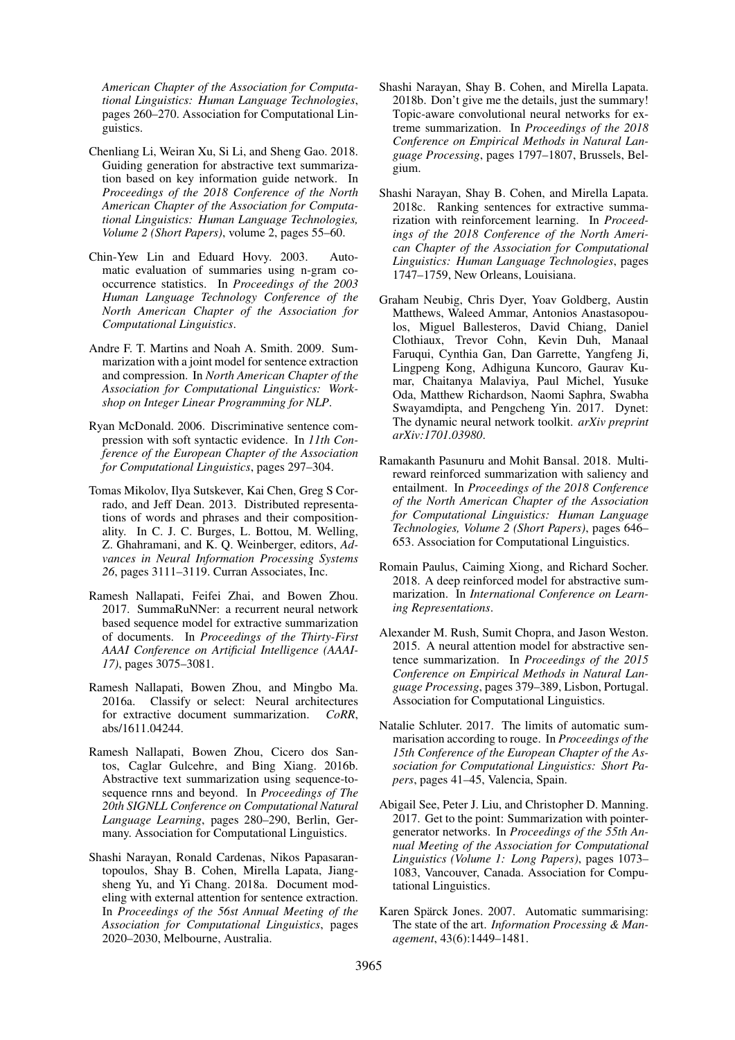*American Chapter of the Association for Computational Linguistics: Human Language Technologies*, pages 260–270. Association for Computational Linguistics.

- Chenliang Li, Weiran Xu, Si Li, and Sheng Gao. 2018. Guiding generation for abstractive text summarization based on key information guide network. In *Proceedings of the 2018 Conference of the North American Chapter of the Association for Computational Linguistics: Human Language Technologies, Volume 2 (Short Papers)*, volume 2, pages 55–60.
- Chin-Yew Lin and Eduard Hovy. 2003. Automatic evaluation of summaries using n-gram cooccurrence statistics. In *Proceedings of the 2003 Human Language Technology Conference of the North American Chapter of the Association for Computational Linguistics*.
- Andre F. T. Martins and Noah A. Smith. 2009. Summarization with a joint model for sentence extraction and compression. In *North American Chapter of the Association for Computational Linguistics: Workshop on Integer Linear Programming for NLP*.
- Ryan McDonald. 2006. Discriminative sentence compression with soft syntactic evidence. In *11th Conference of the European Chapter of the Association for Computational Linguistics*, pages 297–304.
- Tomas Mikolov, Ilya Sutskever, Kai Chen, Greg S Corrado, and Jeff Dean. 2013. Distributed representations of words and phrases and their compositionality. In C. J. C. Burges, L. Bottou, M. Welling, Z. Ghahramani, and K. Q. Weinberger, editors, *Advances in Neural Information Processing Systems 26*, pages 3111–3119. Curran Associates, Inc.
- Ramesh Nallapati, Feifei Zhai, and Bowen Zhou. 2017. SummaRuNNer: a recurrent neural network based sequence model for extractive summarization of documents. In *Proceedings of the Thirty-First AAAI Conference on Artificial Intelligence (AAAI-17)*, pages 3075–3081.
- Ramesh Nallapati, Bowen Zhou, and Mingbo Ma. 2016a. Classify or select: Neural architectures for extractive document summarization. *CoRR*, abs/1611.04244.
- Ramesh Nallapati, Bowen Zhou, Cicero dos Santos, Caglar Gulcehre, and Bing Xiang. 2016b. Abstractive text summarization using sequence-tosequence rnns and beyond. In *Proceedings of The 20th SIGNLL Conference on Computational Natural Language Learning*, pages 280–290, Berlin, Germany. Association for Computational Linguistics.
- Shashi Narayan, Ronald Cardenas, Nikos Papasarantopoulos, Shay B. Cohen, Mirella Lapata, Jiangsheng Yu, and Yi Chang. 2018a. Document modeling with external attention for sentence extraction. In *Proceedings of the 56st Annual Meeting of the Association for Computational Linguistics*, pages 2020–2030, Melbourne, Australia.
- Shashi Narayan, Shay B. Cohen, and Mirella Lapata. 2018b. Don't give me the details, just the summary! Topic-aware convolutional neural networks for extreme summarization. In *Proceedings of the 2018 Conference on Empirical Methods in Natural Language Processing*, pages 1797–1807, Brussels, Belgium.
- Shashi Narayan, Shay B. Cohen, and Mirella Lapata. 2018c. Ranking sentences for extractive summarization with reinforcement learning. In *Proceedings of the 2018 Conference of the North American Chapter of the Association for Computational Linguistics: Human Language Technologies*, pages 1747–1759, New Orleans, Louisiana.
- Graham Neubig, Chris Dyer, Yoav Goldberg, Austin Matthews, Waleed Ammar, Antonios Anastasopoulos, Miguel Ballesteros, David Chiang, Daniel Clothiaux, Trevor Cohn, Kevin Duh, Manaal Faruqui, Cynthia Gan, Dan Garrette, Yangfeng Ji, Lingpeng Kong, Adhiguna Kuncoro, Gaurav Kumar, Chaitanya Malaviya, Paul Michel, Yusuke Oda, Matthew Richardson, Naomi Saphra, Swabha Swayamdipta, and Pengcheng Yin. 2017. Dynet: The dynamic neural network toolkit. *arXiv preprint arXiv:1701.03980*.
- Ramakanth Pasunuru and Mohit Bansal. 2018. Multireward reinforced summarization with saliency and entailment. In *Proceedings of the 2018 Conference of the North American Chapter of the Association for Computational Linguistics: Human Language Technologies, Volume 2 (Short Papers)*, pages 646– 653. Association for Computational Linguistics.
- Romain Paulus, Caiming Xiong, and Richard Socher. 2018. A deep reinforced model for abstractive summarization. In *International Conference on Learning Representations*.
- Alexander M. Rush, Sumit Chopra, and Jason Weston. 2015. A neural attention model for abstractive sentence summarization. In *Proceedings of the 2015 Conference on Empirical Methods in Natural Language Processing*, pages 379–389, Lisbon, Portugal. Association for Computational Linguistics.
- Natalie Schluter. 2017. The limits of automatic summarisation according to rouge. In *Proceedings of the 15th Conference of the European Chapter of the Association for Computational Linguistics: Short Papers*, pages 41–45, Valencia, Spain.
- Abigail See, Peter J. Liu, and Christopher D. Manning. 2017. Get to the point: Summarization with pointergenerator networks. In *Proceedings of the 55th Annual Meeting of the Association for Computational Linguistics (Volume 1: Long Papers)*, pages 1073– 1083, Vancouver, Canada. Association for Computational Linguistics.
- Karen Spärck Jones. 2007. Automatic summarising: The state of the art. *Information Processing & Management*, 43(6):1449–1481.